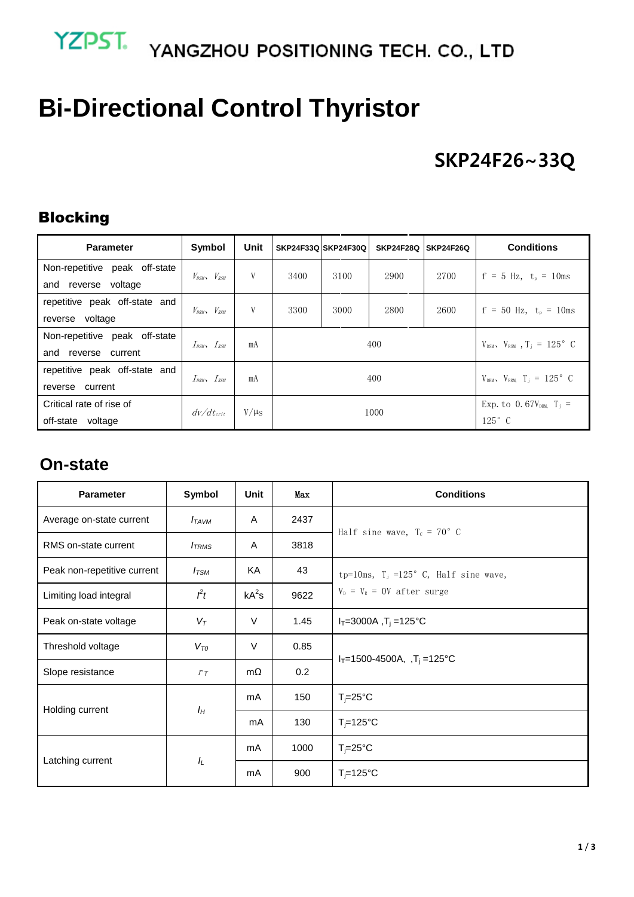# YZPST. YANGZHOU POSITIONING TECH. CO., LTD

# **Bi-Directional Control Thyristor**

## **SKP24F26~33Q**

#### Blocking

| <b>Parameter</b>              | Symbol                              | Unit                 | SKP24F33Q SKP24F30Q<br><b>SKP24F28Q</b><br><b>SKP24F26Q</b> |      |                                             |      | <b>Conditions</b>                       |  |
|-------------------------------|-------------------------------------|----------------------|-------------------------------------------------------------|------|---------------------------------------------|------|-----------------------------------------|--|
| Non-repetitive peak off-state | $V_{DSW}$ , $V_{RSW}$               | V                    | 3400                                                        | 3100 | 2900                                        | 2700 | $f = 5$ Hz, $t_p = 10$ ms               |  |
| and reverse voltage           |                                     |                      |                                                             |      |                                             |      |                                         |  |
| repetitive peak off-state and | $V_{DRM}$ , $V_{RRM}$               | V                    | 3300                                                        | 3000 | 2800                                        | 2600 | $f = 50$ Hz, $t_p = 10$ ms              |  |
| reverse voltage               |                                     |                      |                                                             |      |                                             |      |                                         |  |
| Non-repetitive peak off-state |                                     |                      |                                                             |      | $V_{DSM}$ , $V_{RSM}$ , $T_i = 125^\circ$ C |      |                                         |  |
| and reverse current           | $I_{\text{BSW}}$ , $I_{\text{RSW}}$ | mA                   |                                                             | 400  |                                             |      |                                         |  |
| repetitive peak off-state and | $I_{DRM}$ , $I_{RRM}$               | mA                   |                                                             | 400  | $V_{DRM}$ , $V_{RRM}$ , $T_i = 125^\circ$ C |      |                                         |  |
| reverse current               |                                     |                      |                                                             |      |                                             |      |                                         |  |
| Critical rate of rise of      | $d\nu/dt_{crit}$                    | $V/\mu$ <sub>S</sub> | 1000                                                        |      |                                             |      | Exp. to 0.67 $V_{DRM}$ T <sub>i</sub> = |  |
| off-state voltage             |                                     |                      |                                                             |      | $125^\circ$ C                               |      |                                         |  |

#### **On-state**

| <b>Parameter</b>            | Symbol            | <b>Unit</b> | Max  | <b>Conditions</b>                       |
|-----------------------------|-------------------|-------------|------|-----------------------------------------|
| Average on-state current    | $I_{TAVM}$        | A           | 2437 | Half sine wave, $T_c = 70^{\circ}$ C    |
| RMS on-state current        | $I_{TRMS}$        | A           | 3818 |                                         |
| Peak non-repetitive current | $I_{TSM}$         | KA          | 43   | tp=10ms, $T_i$ =125° C, Half sine wave, |
| Limiting load integral      | $\hat{f}$         | $kA^2s$     | 9622 | $V_{D}$ = $V_{R}$ = 0V after surge      |
| Peak on-state voltage       | $V_{\mathcal{T}}$ | $\vee$      | 1.45 | $I_T = 3000A$ , $T_i = 125^{\circ}C$    |
| Threshold voltage           | $V_{TO}$          | $\vee$      | 0.85 |                                         |
| Slope resistance            | $\Gamma$ T        | $m\Omega$   | 0.2  | $I_T = 1500 - 4500A$ , $T_j = 125$ °C   |
| Holding current             | $I_H$             | mA          | 150  | $T_i = 25^{\circ}C$                     |
|                             |                   | mA          | 130  | $T_i = 125$ °C                          |
| Latching current            | $I_L$             | mA          | 1000 | $T_i = 25^{\circ}C$                     |
|                             |                   | mA          | 900  | $T_i = 125$ °C                          |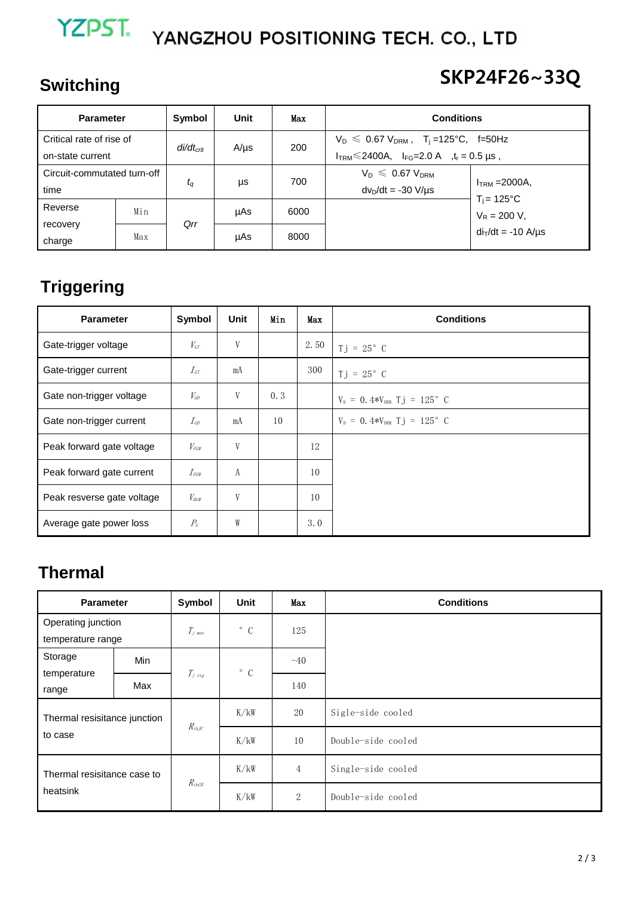# YZPST. YANGZHOU POSITIONING TECH. CO., LTD

## **Switching**

# **SKP24F26~33Q**

| <b>Parameter</b>            |     | Symbol                      | Unit      | Max  | <b>Conditions</b>                                          |                                        |  |
|-----------------------------|-----|-----------------------------|-----------|------|------------------------------------------------------------|----------------------------------------|--|
| Critical rate of rise of    |     |                             | $A/\mu s$ | 200  | $V_D \le 0.67 V_{DRM}$ , T <sub>i</sub> =125°C, f=50Hz     |                                        |  |
| on-state current            |     | di/dt <sub>crit</sub>       |           |      | $I_{TRM}$ $\leq$ 2400A, $I_{FG}$ = 2.0 A , $t_r$ = 0.5 µs, |                                        |  |
| Circuit-commutated turn-off |     | $t_{\scriptscriptstyle{G}}$ | μs        | 700  | $V_D \leqslant 0.67 V_{DRM}$                               | $ITRM = 2000A$<br>$T_i = 125^{\circ}C$ |  |
| time                        |     |                             |           |      | $dv_D/dt = -30 V/\mu s$                                    |                                        |  |
| Reverse                     | Min |                             | µAs       | 6000 |                                                            | $V_R = 200 V,$                         |  |
| recovery                    |     | Qrr                         |           |      |                                                            |                                        |  |
| charge                      | Max |                             | µAs       | 8000 |                                                            | $di$ di $/dt$ = -10 A/ $\mu$ s         |  |

## **Triggering**

| <b>Parameter</b>           | Symbol                      | Unit | Min | Max  | <b>Conditions</b>                          |
|----------------------------|-----------------------------|------|-----|------|--------------------------------------------|
| Gate-trigger voltage       | $V_{GT}$                    | V    |     | 2.50 | $Tj = 25^{\circ} C$                        |
| Gate-trigger current       | $I_{\mathit{GT}}$           | mA   |     | 300  | $Tj = 25^{\circ} C$                        |
| Gate non-trigger voltage   | $V_{\scriptscriptstyle GD}$ | V    | 0.3 |      | $V_{D} = 0.4*V_{DRM}$ Tj = 125° C          |
| Gate non-trigger current   | $I_{\text{GP}}$             | mA   | 10  |      | $V_{\rm p} = 0.4*V_{\rm DRM}$ T j = 125° C |
| Peak forward gate voltage  | $V_{FGM}$                   | V    |     | 12   |                                            |
| Peak forward gate current  | $I_{FGW}$                   | А    |     | 10   |                                            |
| Peak resverse gate voltage | $V_{RCM}$                   | V    |     | 10   |                                            |
| Average gate power loss    | $P_{\rm G}$                 | W    |     | 3.0  |                                            |

### **Thermal**

| <b>Parameter</b>                        |     | Symbol              | Unit         | Max            | <b>Conditions</b>  |
|-----------------------------------------|-----|---------------------|--------------|----------------|--------------------|
| Operating junction<br>temperature range |     | $T_{j \text{ max}}$ | $^{\circ}$ C | 125            |                    |
| Storage                                 | Min |                     | $\degree$ C  | $-40$          |                    |
| temperature<br>range                    | Max | $T_{j, stg}$        |              | 140            |                    |
| Thermal resisitance junction<br>to case |     | $R_{th\!}$          | K/kW         | 20             | Sigle-side cooled  |
|                                         |     |                     | K/kW         | 10             | Double-side cooled |
| Thermal resisitance case to             |     |                     | K/kW         | $\overline{4}$ | Single-side cooled |
| heatsink                                |     | $R_{thCH}$          | K/kW         | $\overline{2}$ | Double-side cooled |